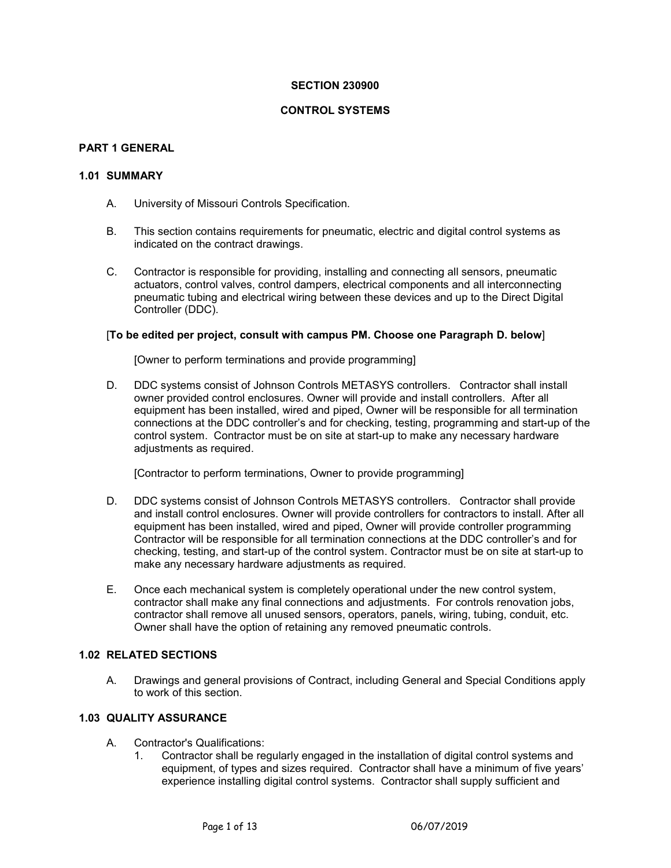### **SECTION 230900**

### **CONTROL SYSTEMS**

### **PART 1 GENERAL**

# **1.01 SUMMARY**

- A. University of Missouri Controls Specification.
- B. This section contains requirements for pneumatic, electric and digital control systems as indicated on the contract drawings.
- C. Contractor is responsible for providing, installing and connecting all sensors, pneumatic actuators, control valves, control dampers, electrical components and all interconnecting pneumatic tubing and electrical wiring between these devices and up to the Direct Digital Controller (DDC).

#### [**To be edited per project, consult with campus PM. Choose one Paragraph D. below**]

[Owner to perform terminations and provide programming]

D. DDC systems consist of Johnson Controls METASYS controllers. Contractor shall install owner provided control enclosures. Owner will provide and install controllers. After all equipment has been installed, wired and piped, Owner will be responsible for all termination connections at the DDC controller's and for checking, testing, programming and start-up of the control system. Contractor must be on site at start-up to make any necessary hardware adjustments as required.

[Contractor to perform terminations, Owner to provide programming]

- D. DDC systems consist of Johnson Controls METASYS controllers. Contractor shall provide and install control enclosures. Owner will provide controllers for contractors to install. After all equipment has been installed, wired and piped, Owner will provide controller programming Contractor will be responsible for all termination connections at the DDC controller's and for checking, testing, and start-up of the control system. Contractor must be on site at start-up to make any necessary hardware adjustments as required.
- E. Once each mechanical system is completely operational under the new control system, contractor shall make any final connections and adjustments. For controls renovation jobs, contractor shall remove all unused sensors, operators, panels, wiring, tubing, conduit, etc. Owner shall have the option of retaining any removed pneumatic controls.

### **1.02 RELATED SECTIONS**

A. Drawings and general provisions of Contract, including General and Special Conditions apply to work of this section.

# **1.03 QUALITY ASSURANCE**

- A. Contractor's Qualifications:
	- 1. Contractor shall be regularly engaged in the installation of digital control systems and equipment, of types and sizes required. Contractor shall have a minimum of five years' experience installing digital control systems. Contractor shall supply sufficient and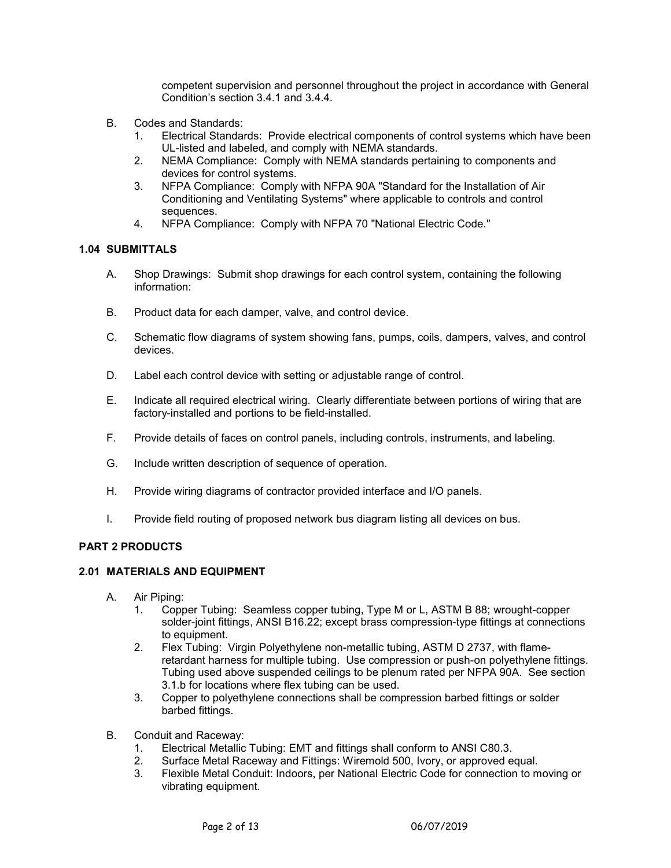competent supervision and personnel throughout the project in accordance with General Condition's section 3.4.1 and 3.4.4.

- B. Codes and Standards:
	- 1. Electrical Standards: Provide electrical components of control systems which have been UL-listed and labeled, and comply with NEMA standards.
	- 2. NEMA Compliance: Comply with NEMA standards pertaining to components and devices for control systems.
	- 3. NFPA Compliance: Comply with NFPA 90A "Standard for the Installation of Air Conditioning and Ventilating Systems" where applicable to controls and control sequences.
	- 4. NFPA Compliance: Comply with NFPA 70 "National Electric Code."

### **1.04 SUBMITTALS**

- A. Shop Drawings: Submit shop drawings for each control system, containing the following information:
- B. Product data for each damper, valve, and control device.
- C. Schematic flow diagrams of system showing fans, pumps, coils, dampers, valves, and control devices.
- D. Label each control device with setting or adjustable range of control.
- E. Indicate all required electrical wiring. Clearly differentiate between portions of wiring that are factory-installed and portions to be field-installed.
- F. Provide details of faces on control panels, including controls, instruments, and labeling.
- G. Include written description of sequence of operation.
- H. Provide wiring diagrams of contractor provided interface and I/O panels.
- I. Provide field routing of proposed network bus diagram listing all devices on bus.

### **PART 2 PRODUCTS**

### **2.01 MATERIALS AND EQUIPMENT**

- A. Air Piping:
	- 1. Copper Tubing: Seamless copper tubing, Type M or L, ASTM B 88; wrought-copper solder-joint fittings, ANSI B16.22; except brass compression-type fittings at connections to equipment.
	- 2. Flex Tubing: Virgin Polyethylene non-metallic tubing, ASTM D 2737, with flameretardant harness for multiple tubing. Use compression or push-on polyethylene fittings. Tubing used above suspended ceilings to be plenum rated per NFPA 90A. See section 3.1.b for locations where flex tubing can be used.
	- 3. Copper to polyethylene connections shall be compression barbed fittings or solder barbed fittings.
- B. Conduit and Raceway:
	- 1. Electrical Metallic Tubing: EMT and fittings shall conform to ANSI C80.3.
	- 2. Surface Metal Raceway and Fittings: Wiremold 500, Ivory, or approved equal.
	- 3. Flexible Metal Conduit: Indoors, per National Electric Code for connection to moving or vibrating equipment.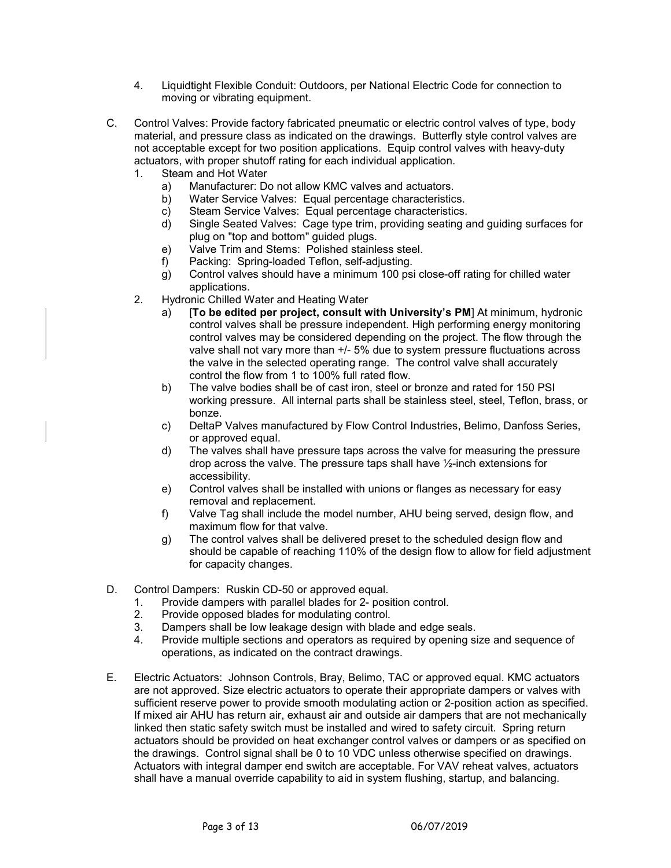- 4. Liquidtight Flexible Conduit: Outdoors, per National Electric Code for connection to moving or vibrating equipment.
- C. Control Valves: Provide factory fabricated pneumatic or electric control valves of type, body material, and pressure class as indicated on the drawings. Butterfly style control valves are not acceptable except for two position applications. Equip control valves with heavy-duty actuators, with proper shutoff rating for each individual application.
	- 1. Steam and Hot Water<br>a) Manufacturer: Do
		- a) Manufacturer: Do not allow KMC valves and actuators.
		- Water Service Valves: Equal percentage characteristics.
		- c) Steam Service Valves: Equal percentage characteristics.
		- d) Single Seated Valves: Cage type trim, providing seating and guiding surfaces for plug on "top and bottom" guided plugs.
		- e) Valve Trim and Stems: Polished stainless steel.
		- f) Packing: Spring-loaded Teflon, self-adjusting.
		- g) Control valves should have a minimum 100 psi close-off rating for chilled water applications.
	- 2. Hydronic Chilled Water and Heating Water
		- a) [**To be edited per project, consult with University's PM**] At minimum, hydronic control valves shall be pressure independent. High performing energy monitoring control valves may be considered depending on the project. The flow through the valve shall not vary more than +/- 5% due to system pressure fluctuations across the valve in the selected operating range. The control valve shall accurately control the flow from 1 to 100% full rated flow.
		- b) The valve bodies shall be of cast iron, steel or bronze and rated for 150 PSI working pressure. All internal parts shall be stainless steel, steel, Teflon, brass, or bonze.
		- c) DeltaP Valves manufactured by Flow Control Industries, Belimo, Danfoss Series, or approved equal.
		- d) The valves shall have pressure taps across the valve for measuring the pressure drop across the valve. The pressure taps shall have ½-inch extensions for accessibility.
		- e) Control valves shall be installed with unions or flanges as necessary for easy removal and replacement.
		- f) Valve Tag shall include the model number, AHU being served, design flow, and maximum flow for that valve.
		- g) The control valves shall be delivered preset to the scheduled design flow and should be capable of reaching 110% of the design flow to allow for field adjustment for capacity changes.
- D. Control Dampers: Ruskin CD-50 or approved equal.
	- 1. Provide dampers with parallel blades for 2- position control.<br>2. Provide opposed blades for modulating control.
	- Provide opposed blades for modulating control.
	- 3. Dampers shall be low leakage design with blade and edge seals.
	- 4. Provide multiple sections and operators as required by opening size and sequence of operations, as indicated on the contract drawings.
- E. Electric Actuators: Johnson Controls, Bray, Belimo, TAC or approved equal. KMC actuators are not approved. Size electric actuators to operate their appropriate dampers or valves with sufficient reserve power to provide smooth modulating action or 2-position action as specified. If mixed air AHU has return air, exhaust air and outside air dampers that are not mechanically linked then static safety switch must be installed and wired to safety circuit. Spring return actuators should be provided on heat exchanger control valves or dampers or as specified on the drawings. Control signal shall be 0 to 10 VDC unless otherwise specified on drawings. Actuators with integral damper end switch are acceptable. For VAV reheat valves, actuators shall have a manual override capability to aid in system flushing, startup, and balancing.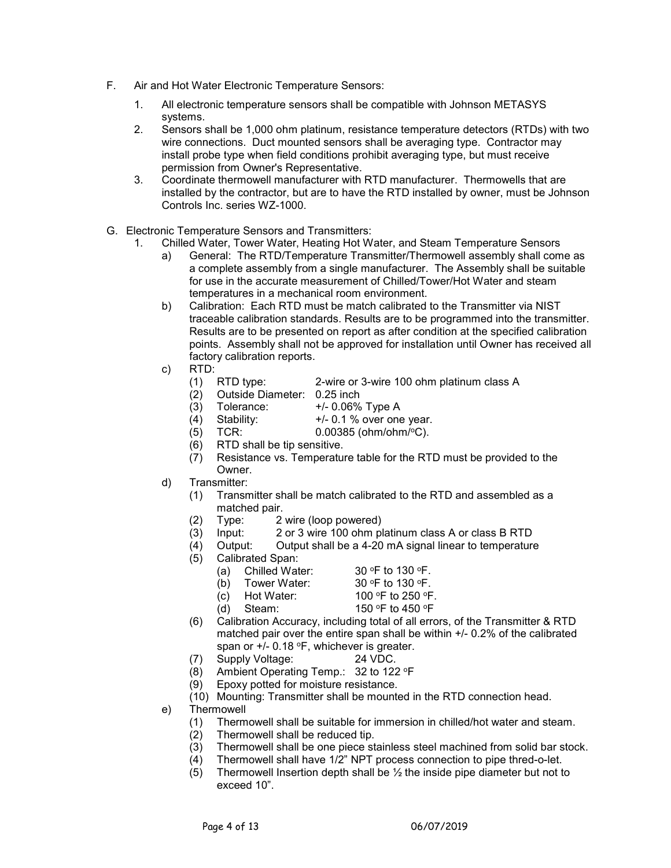- F. Air and Hot Water Electronic Temperature Sensors:
	- 1. All electronic temperature sensors shall be compatible with Johnson METASYS systems.
	- 2. Sensors shall be 1,000 ohm platinum, resistance temperature detectors (RTDs) with two wire connections. Duct mounted sensors shall be averaging type. Contractor may install probe type when field conditions prohibit averaging type, but must receive permission from Owner's Representative.
	- 3. Coordinate thermowell manufacturer with RTD manufacturer. Thermowells that are installed by the contractor, but are to have the RTD installed by owner, must be Johnson Controls Inc. series WZ-1000.
- G. Electronic Temperature Sensors and Transmitters:
	- 1. Chilled Water, Tower Water, Heating Hot Water, and Steam Temperature Sensors
		- a) General: The RTD/Temperature Transmitter/Thermowell assembly shall come as a complete assembly from a single manufacturer. The Assembly shall be suitable for use in the accurate measurement of Chilled/Tower/Hot Water and steam temperatures in a mechanical room environment.
		- b) Calibration: Each RTD must be match calibrated to the Transmitter via NIST traceable calibration standards. Results are to be programmed into the transmitter. Results are to be presented on report as after condition at the specified calibration points. Assembly shall not be approved for installation until Owner has received all factory calibration reports.
		- c) RTD:
			- (1) RTD type: 2-wire or 3-wire 100 ohm platinum class A
			- (2) Outside Diameter: 0.25 inch
			- $(3)$  Tolerance:  $+/-0.06\%$  Type A
			- (4) Stability:  $+/- 0.1 \%$  over one year.
			- (5) TCR: 0.00385 (ohm/ohm/oC).
			- (6) RTD shall be tip sensitive.
			- (7) Resistance vs. Temperature table for the RTD must be provided to the **Owner**
		- d) Transmitter:
			- (1) Transmitter shall be match calibrated to the RTD and assembled as a matched pair.
			- (2) Type: 2 wire (loop powered)
			- (3) Input: 2 or 3 wire 100 ohm platinum class A or class B RTD
			- (4) Output: Output shall be a 4-20 mA signal linear to temperature
			- (5) Calibrated Span:
				-
				- (a) Chilled Water:  $30 °F$  to 130 °F.<br>
				(b) Tower Water:  $30 °F$  to 130 °F. (b) Tower Water:
					-
				- (c) Hot Water:  $100 °F$  to 250 °F.<br>(d) Steam:  $150 °F$  to 450 °F 150 °F to 450 °F
			- (6) Calibration Accuracy, including total of all errors, of the Transmitter & RTD matched pair over the entire span shall be within +/- 0.2% of the calibrated span or  $+/-$  0.18 °F, whichever is greater.
			- (7) Supply Voltage: 24 VDC.
			- (8) Ambient Operating Temp.: 32 to 122 oF
			- (9) Epoxy potted for moisture resistance.
			- (10) Mounting: Transmitter shall be mounted in the RTD connection head.
		- e) Thermowell
			- (1) Thermowell shall be suitable for immersion in chilled/hot water and steam.<br>(2) Thermowell shall be reduced tip.
				- Thermowell shall be reduced tip.
				- (3) Thermowell shall be one piece stainless steel machined from solid bar stock.
				- $(4)$  Thermowell shall have 1/2" NPT process connection to pipe thred-o-let.
				- (5) Thermowell Insertion depth shall be  $\frac{1}{2}$  the inside pipe diameter but not to exceed 10".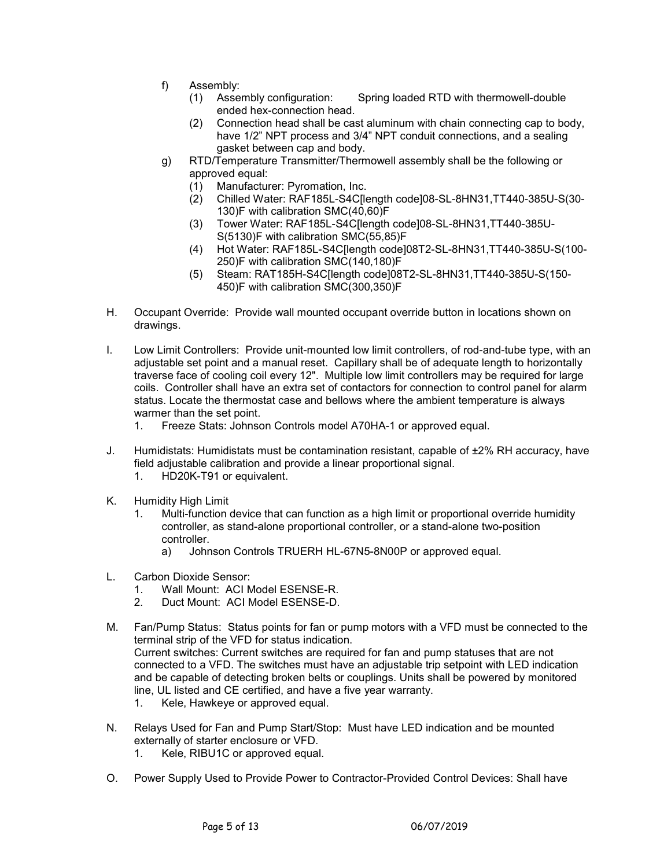- f) Assembly:
	- (1) Assembly configuration: Spring loaded RTD with thermowell-double ended hex-connection head.
	- (2) Connection head shall be cast aluminum with chain connecting cap to body, have 1/2" NPT process and 3/4" NPT conduit connections, and a sealing gasket between cap and body.
- g) RTD/Temperature Transmitter/Thermowell assembly shall be the following or approved equal:
	- (1) Manufacturer: Pyromation, Inc.
	- (2) Chilled Water: RAF185L-S4C[length code]08-SL-8HN31,TT440-385U-S(30- 130)F with calibration SMC(40,60)F
	- (3) Tower Water: RAF185L-S4C[length code]08-SL-8HN31,TT440-385U-S(5130)F with calibration SMC(55,85)F
	- (4) Hot Water: RAF185L-S4C[length code]08T2-SL-8HN31,TT440-385U-S(100- 250)F with calibration SMC(140,180)F
	- (5) Steam: RAT185H-S4C[length code]08T2-SL-8HN31,TT440-385U-S(150- 450)F with calibration SMC(300,350)F
- H. Occupant Override: Provide wall mounted occupant override button in locations shown on drawings.
- I. Low Limit Controllers: Provide unit-mounted low limit controllers, of rod-and-tube type, with an adjustable set point and a manual reset. Capillary shall be of adequate length to horizontally traverse face of cooling coil every 12". Multiple low limit controllers may be required for large coils. Controller shall have an extra set of contactors for connection to control panel for alarm status. Locate the thermostat case and bellows where the ambient temperature is always warmer than the set point.
	- 1. Freeze Stats: Johnson Controls model A70HA-1 or approved equal.
- J. Humidistats: Humidistats must be contamination resistant, capable of ±2% RH accuracy, have field adjustable calibration and provide a linear proportional signal.
	- 1. HD20K-T91 or equivalent.
- K. Humidity High Limit
	- 1. Multi-function device that can function as a high limit or proportional override humidity controller, as stand-alone proportional controller, or a stand-alone two-position controller.
		- a) Johnson Controls TRUERH HL-67N5-8N00P or approved equal.
- L. Carbon Dioxide Sensor:
	- 1. Wall Mount: ACI Model ESENSE-R.
	- 2. Duct Mount: ACI Model ESENSE-D.
- M. Fan/Pump Status: Status points for fan or pump motors with a VFD must be connected to the terminal strip of the VFD for status indication. Current switches: Current switches are required for fan and pump statuses that are not connected to a VFD. The switches must have an adjustable trip setpoint with LED indication and be capable of detecting broken belts or couplings. Units shall be powered by monitored line, UL listed and CE certified, and have a five year warranty.
	- 1. Kele, Hawkeye or approved equal.
- N. Relays Used for Fan and Pump Start/Stop: Must have LED indication and be mounted externally of starter enclosure or VFD.
	- 1. Kele, RIBU1C or approved equal.
- O. Power Supply Used to Provide Power to Contractor-Provided Control Devices: Shall have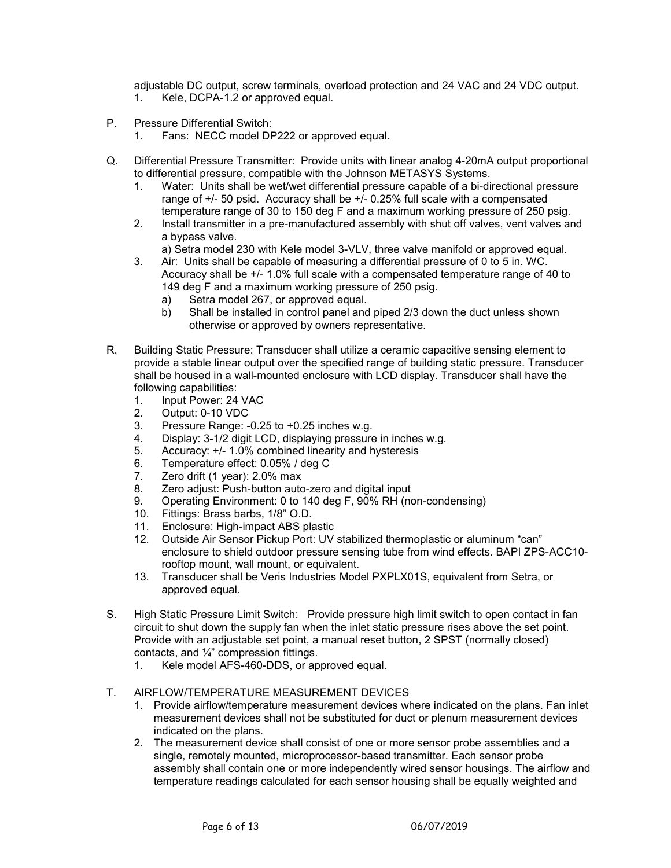adjustable DC output, screw terminals, overload protection and 24 VAC and 24 VDC output. 1. Kele, DCPA-1.2 or approved equal.

- P. Pressure Differential Switch:
	- 1. Fans: NECC model DP222 or approved equal.
- Q. Differential Pressure Transmitter: Provide units with linear analog 4-20mA output proportional to differential pressure, compatible with the Johnson METASYS Systems.
	- 1. Water: Units shall be wet/wet differential pressure capable of a bi-directional pressure range of +/- 50 psid. Accuracy shall be +/- 0.25% full scale with a compensated temperature range of 30 to 150 deg F and a maximum working pressure of 250 psig.
	- 2. Install transmitter in a pre-manufactured assembly with shut off valves, vent valves and a bypass valve.
		- a) Setra model 230 with Kele model 3-VLV, three valve manifold or approved equal.
	- 3. Air: Units shall be capable of measuring a differential pressure of 0 to 5 in. WC. Accuracy shall be +/- 1.0% full scale with a compensated temperature range of 40 to 149 deg F and a maximum working pressure of 250 psig.
		- a) Setra model 267, or approved equal.
		- b) Shall be installed in control panel and piped 2/3 down the duct unless shown otherwise or approved by owners representative.
- R. Building Static Pressure: Transducer shall utilize a ceramic capacitive sensing element to provide a stable linear output over the specified range of building static pressure. Transducer shall be housed in a wall-mounted enclosure with LCD display. Transducer shall have the following capabilities:
	- 1. Input Power: 24 VAC
	- 2. Output: 0-10 VDC
	- 3. Pressure Range: -0.25 to +0.25 inches w.g.
	- 4. Display: 3-1/2 digit LCD, displaying pressure in inches w.g.<br>5. Accuracy: +/- 1.0% combined linearity and hysteresis
	- Accuracy:  $+/- 1.0\%$  combined linearity and hysteresis
	- 6. Temperature effect: 0.05% / deg C
	- 7. Zero drift (1 year): 2.0% max
	- 8. Zero adjust: Push-button auto-zero and digital input
	- 9. Operating Environment: 0 to 140 deg F, 90% RH (non-condensing)
	- 10. Fittings: Brass barbs, 1/8" O.D.
	- 11. Enclosure: High-impact ABS plastic
	- 12. Outside Air Sensor Pickup Port: UV stabilized thermoplastic or aluminum "can" enclosure to shield outdoor pressure sensing tube from wind effects. BAPI ZPS-ACC10 rooftop mount, wall mount, or equivalent.
	- 13. Transducer shall be Veris Industries Model PXPLX01S, equivalent from Setra, or approved equal.
- S. High Static Pressure Limit Switch: Provide pressure high limit switch to open contact in fan circuit to shut down the supply fan when the inlet static pressure rises above the set point. Provide with an adjustable set point, a manual reset button, 2 SPST (normally closed) contacts, and ¼" compression fittings.
	- 1. Kele model AFS-460-DDS, or approved equal.

# T. AIRFLOW/TEMPERATURE MEASUREMENT DEVICES

- 1. Provide airflow/temperature measurement devices where indicated on the plans. Fan inlet measurement devices shall not be substituted for duct or plenum measurement devices indicated on the plans.
- 2. The measurement device shall consist of one or more sensor probe assemblies and a single, remotely mounted, microprocessor-based transmitter. Each sensor probe assembly shall contain one or more independently wired sensor housings. The airflow and temperature readings calculated for each sensor housing shall be equally weighted and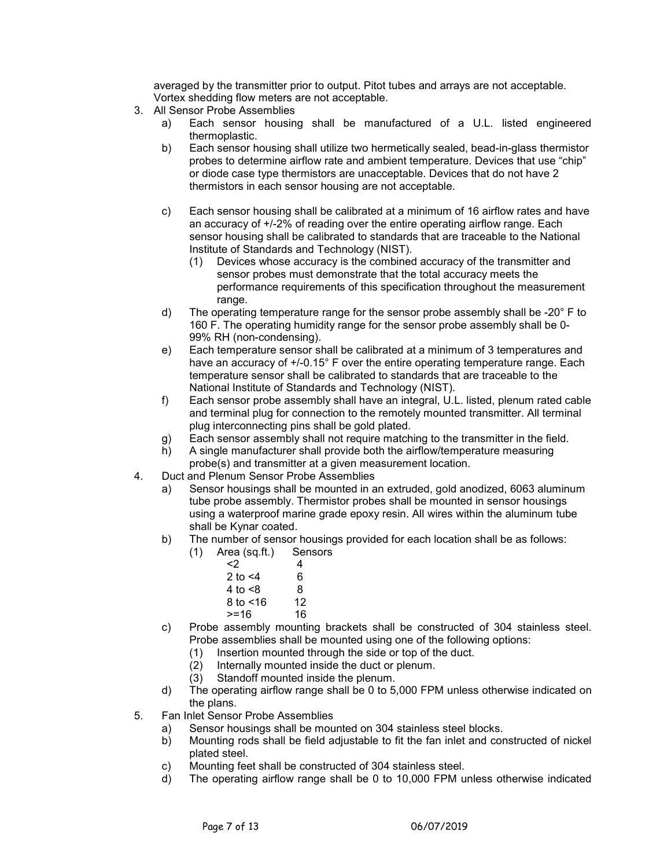averaged by the transmitter prior to output. Pitot tubes and arrays are not acceptable. Vortex shedding flow meters are not acceptable.

- 3. All Sensor Probe Assemblies
	- a) Each sensor housing shall be manufactured of a U.L. listed engineered thermoplastic.
	- b) Each sensor housing shall utilize two hermetically sealed, bead-in-glass thermistor probes to determine airflow rate and ambient temperature. Devices that use "chip" or diode case type thermistors are unacceptable. Devices that do not have 2 thermistors in each sensor housing are not acceptable.
	- c) Each sensor housing shall be calibrated at a minimum of 16 airflow rates and have an accuracy of +/-2% of reading over the entire operating airflow range. Each sensor housing shall be calibrated to standards that are traceable to the National Institute of Standards and Technology (NIST).
		- (1) Devices whose accuracy is the combined accuracy of the transmitter and sensor probes must demonstrate that the total accuracy meets the performance requirements of this specification throughout the measurement range.
	- d) The operating temperature range for the sensor probe assembly shall be -20° F to 160 F. The operating humidity range for the sensor probe assembly shall be 0- 99% RH (non-condensing).
	- e) Each temperature sensor shall be calibrated at a minimum of 3 temperatures and have an accuracy of  $+/-0.15^{\circ}$  F over the entire operating temperature range. Each temperature sensor shall be calibrated to standards that are traceable to the National Institute of Standards and Technology (NIST).
	- f) Each sensor probe assembly shall have an integral, U.L. listed, plenum rated cable and terminal plug for connection to the remotely mounted transmitter. All terminal plug interconnecting pins shall be gold plated.
	- g) Each sensor assembly shall not require matching to the transmitter in the field.
	- h) A single manufacturer shall provide both the airflow/temperature measuring probe(s) and transmitter at a given measurement location.
- 4. Duct and Plenum Sensor Probe Assemblies
	- a) Sensor housings shall be mounted in an extruded, gold anodized, 6063 aluminum tube probe assembly. Thermistor probes shall be mounted in sensor housings using a waterproof marine grade epoxy resin. All wires within the aluminum tube shall be Kynar coated.
	- b) The number of sensor housings provided for each location shall be as follows:
		- (1) Area (sq.ft.) Sensors
			- $\langle 2 \rangle$  4  $2 to < 4$  6  $4$  to  $\leq 8$ <br>8 to  $\leq 16$  12
			- $8$  to  $< 16$
			- $> = 16$  16
	- c) Probe assembly mounting brackets shall be constructed of 304 stainless steel. Probe assemblies shall be mounted using one of the following options:
		- (1) Insertion mounted through the side or top of the duct.
		- (2) Internally mounted inside the duct or plenum.
		- (3) Standoff mounted inside the plenum.
	- d) The operating airflow range shall be 0 to 5,000 FPM unless otherwise indicated on the plans.
- 5. Fan Inlet Sensor Probe Assemblies
	- a) Sensor housings shall be mounted on 304 stainless steel blocks.
	- b) Mounting rods shall be field adjustable to fit the fan inlet and constructed of nickel plated steel.
	- c) Mounting feet shall be constructed of 304 stainless steel.
	- d) The operating airflow range shall be 0 to 10,000 FPM unless otherwise indicated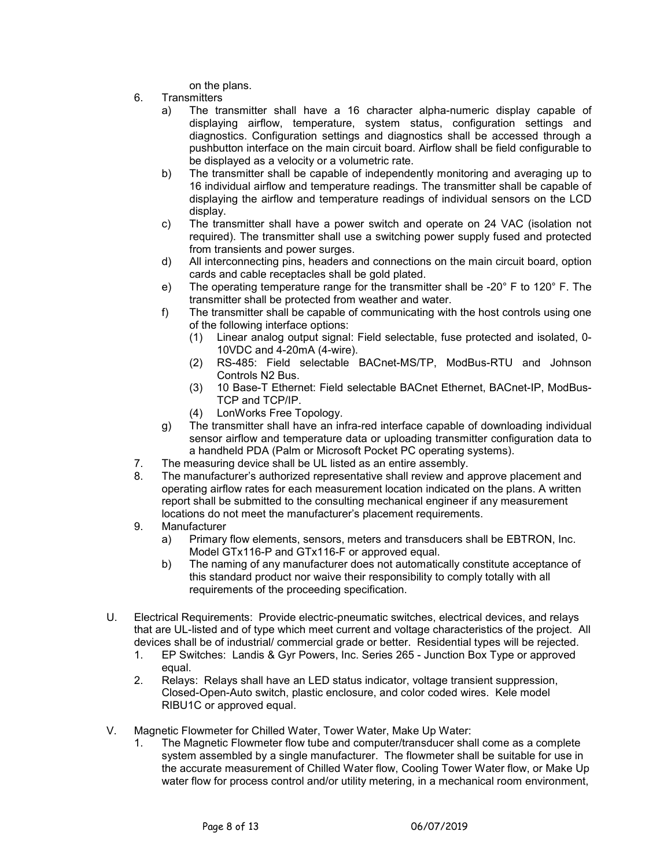on the plans.

- 6. Transmitters
	- a) The transmitter shall have a 16 character alpha-numeric display capable of displaying airflow, temperature, system status, configuration settings and diagnostics. Configuration settings and diagnostics shall be accessed through a pushbutton interface on the main circuit board. Airflow shall be field configurable to be displayed as a velocity or a volumetric rate.
	- b) The transmitter shall be capable of independently monitoring and averaging up to 16 individual airflow and temperature readings. The transmitter shall be capable of displaying the airflow and temperature readings of individual sensors on the LCD display.
	- c) The transmitter shall have a power switch and operate on 24 VAC (isolation not required). The transmitter shall use a switching power supply fused and protected from transients and power surges.
	- d) All interconnecting pins, headers and connections on the main circuit board, option cards and cable receptacles shall be gold plated.
	- e) The operating temperature range for the transmitter shall be -20° F to 120° F. The transmitter shall be protected from weather and water.
	- f) The transmitter shall be capable of communicating with the host controls using one of the following interface options:
		- (1) Linear analog output signal: Field selectable, fuse protected and isolated, 0- 10VDC and 4-20mA (4-wire).
		- (2) RS-485: Field selectable BACnet-MS/TP, ModBus-RTU and Johnson Controls N2 Bus.
		- (3) 10 Base-T Ethernet: Field selectable BACnet Ethernet, BACnet-IP, ModBus-TCP and TCP/IP.
		- (4) LonWorks Free Topology.
	- g) The transmitter shall have an infra-red interface capable of downloading individual sensor airflow and temperature data or uploading transmitter configuration data to a handheld PDA (Palm or Microsoft Pocket PC operating systems).
- 7. The measuring device shall be UL listed as an entire assembly.
- 8. The manufacturer's authorized representative shall review and approve placement and operating airflow rates for each measurement location indicated on the plans. A written report shall be submitted to the consulting mechanical engineer if any measurement locations do not meet the manufacturer's placement requirements.
- 9. Manufacturer
	- a) Primary flow elements, sensors, meters and transducers shall be EBTRON, Inc. Model GTx116-P and GTx116-F or approved equal.
	- b) The naming of any manufacturer does not automatically constitute acceptance of this standard product nor waive their responsibility to comply totally with all requirements of the proceeding specification.
- U. Electrical Requirements: Provide electric-pneumatic switches, electrical devices, and relays that are UL-listed and of type which meet current and voltage characteristics of the project. All devices shall be of industrial/ commercial grade or better. Residential types will be rejected.
	- 1. EP Switches: Landis & Gyr Powers, Inc. Series 265 Junction Box Type or approved equal.
	- 2. Relays: Relays shall have an LED status indicator, voltage transient suppression, Closed-Open-Auto switch, plastic enclosure, and color coded wires. Kele model RIBU1C or approved equal.
- V. Magnetic Flowmeter for Chilled Water, Tower Water, Make Up Water:
	- 1. The Magnetic Flowmeter flow tube and computer/transducer shall come as a complete system assembled by a single manufacturer. The flowmeter shall be suitable for use in the accurate measurement of Chilled Water flow, Cooling Tower Water flow, or Make Up water flow for process control and/or utility metering, in a mechanical room environment,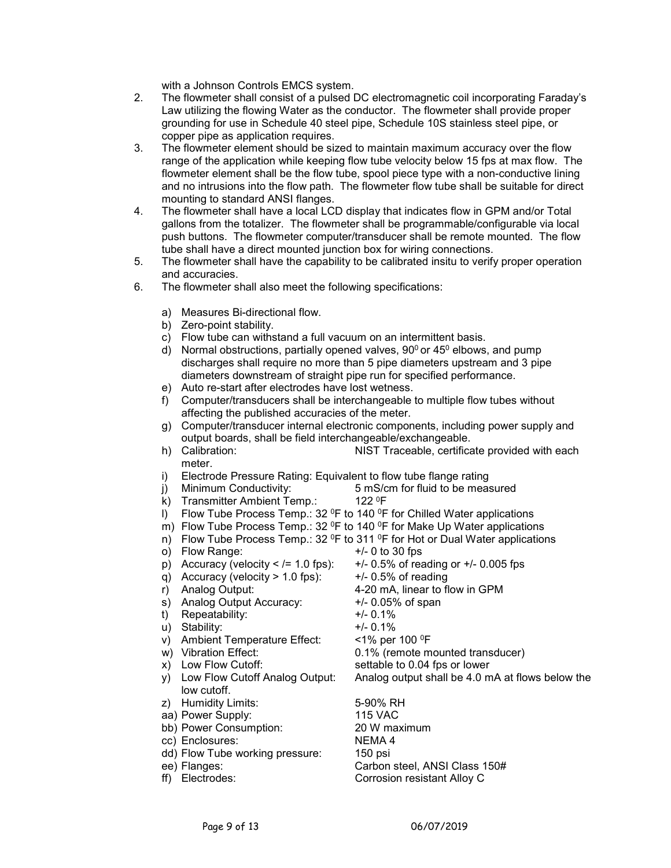with a Johnson Controls EMCS system.

- 2. The flowmeter shall consist of a pulsed DC electromagnetic coil incorporating Faraday's Law utilizing the flowing Water as the conductor. The flowmeter shall provide proper grounding for use in Schedule 40 steel pipe, Schedule 10S stainless steel pipe, or copper pipe as application requires.
- 3. The flowmeter element should be sized to maintain maximum accuracy over the flow range of the application while keeping flow tube velocity below 15 fps at max flow. The flowmeter element shall be the flow tube, spool piece type with a non-conductive lining and no intrusions into the flow path. The flowmeter flow tube shall be suitable for direct mounting to standard ANSI flanges.
- 4. The flowmeter shall have a local LCD display that indicates flow in GPM and/or Total gallons from the totalizer. The flowmeter shall be programmable/configurable via local push buttons. The flowmeter computer/transducer shall be remote mounted. The flow tube shall have a direct mounted junction box for wiring connections.
- 5. The flowmeter shall have the capability to be calibrated insitu to verify proper operation and accuracies.
- 6. The flowmeter shall also meet the following specifications:
	- a) Measures Bi-directional flow.
	- b) Zero-point stability.
	- c) Flow tube can withstand a full vacuum on an intermittent basis.
	- d) Normal obstructions, partially opened valves,  $90^{\circ}$  or  $45^{\circ}$  elbows, and pump discharges shall require no more than 5 pipe diameters upstream and 3 pipe diameters downstream of straight pipe run for specified performance.
	- e) Auto re-start after electrodes have lost wetness.
	- f) Computer/transducers shall be interchangeable to multiple flow tubes without affecting the published accuracies of the meter.
	- g) Computer/transducer internal electronic components, including power supply and output boards, shall be field interchangeable/exchangeable.
	- h) Calibration: NIST Traceable, certificate provided with each meter.
	- i) Electrode Pressure Rating: Equivalent to flow tube flange rating
	- j) Minimum Conductivity:  $5 \text{ mS/cm}$  for fluid to be measured k) Transmitter Ambient Temp.:  $122 \text{ }^{\circ}\text{F}$
	- k) Transmitter Ambient Temp.:
	- I) Flow Tube Process Temp.: 32  $^{\circ}$ F to 140  $^{\circ}$ F for Chilled Water applications
	- m) Flow Tube Process Temp.: 32 <sup>o</sup>F to 140 <sup>o</sup>F for Make Up Water applications
	- n) Flow Tube Process Temp.:  $32^{\circ}$ F to  $311^{\circ}$ F for Hot or Dual Water applications
	- o) Flow Range:  $+/- 0$  to 30 fps
	- p) Accuracy (velocity  $\lt$  /= 1.0 fps):  $+$ /- 0.5% of reading or  $+$ /- 0.005 fps
	- q) Accuracy (velocity  $> 1.0$  fps):  $+/- 0.5%$  of reading
	- r) Analog Output: 4-20 mA, linear to flow in GPM
	- s) Analog Output Accuracy: +/- 0.05% of span
	- t) Repeatability: +/- 0.1%
	- u) Stability: +/- 0.1%
	- v) Ambient Temperature Effect:  $\times$ 1% per 100 °F<br>w) Vibration Effect: 0.1% (remote m
	-
	- x) Low Flow Cutoff: settable to 0.04 fps or lower
	- y) Low Flow Cutoff Analog Output: Analog output shall be 4.0 mA at flows below the low cutoff.
	- z) Humidity Limits: 5-90% RH
	-
	- bb) Power Consumption:
	- cc) Enclosures: NEMA 4
	- dd) Flow Tube working pressure: 150 psi
	-
	-

aa) Power Supply: 115 VAC ee) Flanges: Carbon steel, ANSI Class 150# ff) Electrodes: Corrosion resistant Alloy C

0.1% (remote mounted transducer)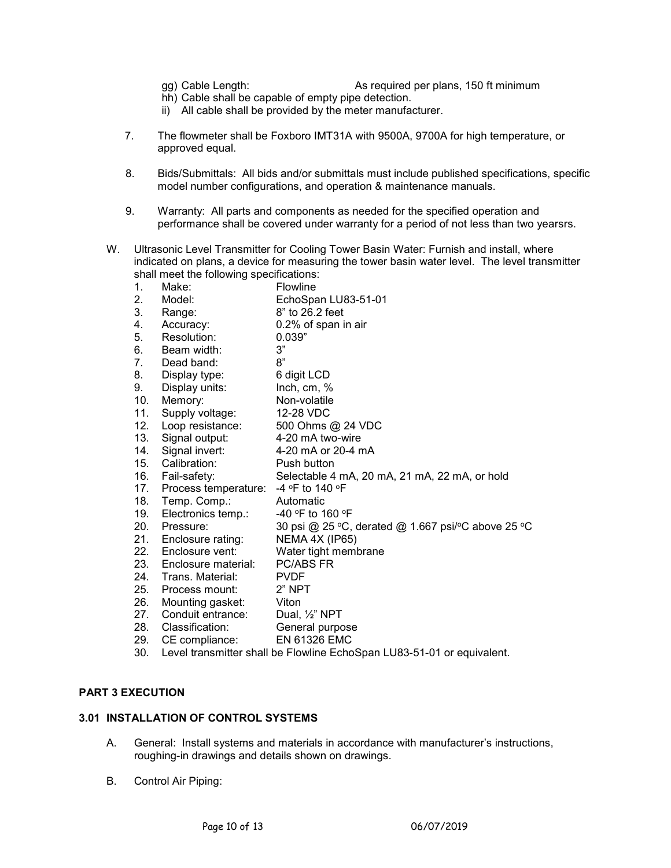- 
- gg) Cable Length: As required per plans, 150 ft minimum
- hh) Cable shall be capable of empty pipe detection.
- ii) All cable shall be provided by the meter manufacturer.
- 7. The flowmeter shall be Foxboro IMT31A with 9500A, 9700A for high temperature, or approved equal.
- 8. Bids/Submittals: All bids and/or submittals must include published specifications, specific model number configurations, and operation & maintenance manuals.
- 9. Warranty: All parts and components as needed for the specified operation and performance shall be covered under warranty for a period of not less than two yearsrs.
- W. Ultrasonic Level Transmitter for Cooling Tower Basin Water: Furnish and install, where indicated on plans, a device for measuring the tower basin water level. The level transmitter shall meet the following specifications:
	- 1. Make: Flowline
	- 2. Model: EchoSpan LU83-51-01
	- 3. Range: 8" to 26.2 feet
	- 4. Accuracy: 0.2% of span in air<br>5. Resolution: 0.039"
	- Resolution:
	- 6. Beam width: 3"<br>7. Dead band: 8"
	- 7. Dead band:<br>8. Display type:
	- 8. Display type: 6 digit LCD<br>9. Display units: 1 Linch.cm. %
	- Display units: Inch, cm, %
	- 10. Memory: Non-volatile<br>11. Supply voltage: 12-28 VDC
	- 11. Supply voltage:
	- 12. Loop resistance: 500 Ohms @ 24 VDC
	- 13. Signal output: 4-20 mA two-wire
	- 14. Signal invert: 4-20 mA or 20-4 mA<br>15. Calibration: Push button
	- 15. Calibration:
	- 16. Fail-safety: Selectable 4 mA, 20 mA, 21 mA, 22 mA, or hold
		- 17. Process temperature: 4 °F to 140 °F
		-
	- 18. Temp. Comp.: Automatic<br>19. Electronics temp.: 40 °F to 160 °F 19. Electronics temp.:<br>20. Pressure:
	- 30 psi @ 25 °C, derated @ 1.667 psi/°C above 25 °C
	- 21. Enclosure rating: NEMA 4X (IP65)
	- 22. Enclosure vent: Water tight membrane
	- 23. Enclosure material: PC/ABS FR<br>24 Trans Material: PVDF
	- 24. Trans. Material:
	- 25. Process mount: 2" NPT
	-
	- 26. Mounting gasket: Viton<br>27. Conduit entrance: Dual, 1/<sub>2</sub>" NPT 27. Conduit entrance:
	- 28. Classification: General purpose
	- 29. CE compliance: EN 61326 EMC
	- 30. Level transmitter shall be Flowline EchoSpan LU83-51-01 or equivalent.

# **PART 3 EXECUTION**

### **3.01 INSTALLATION OF CONTROL SYSTEMS**

- A. General: Install systems and materials in accordance with manufacturer's instructions, roughing-in drawings and details shown on drawings.
- B. Control Air Piping: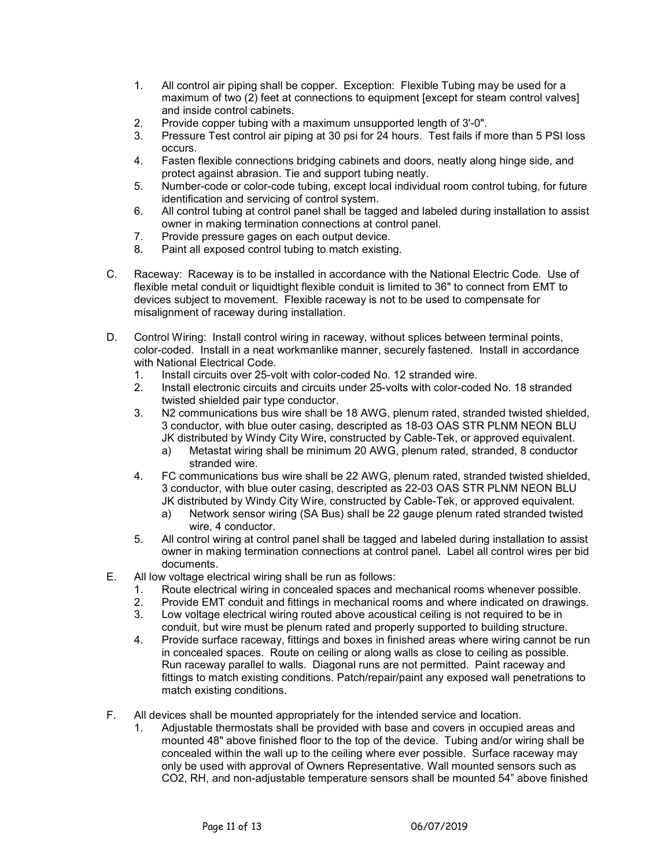- 1. All control air piping shall be copper. Exception: Flexible Tubing may be used for a maximum of two (2) feet at connections to equipment [except for steam control valves] and inside control cabinets.
- 2. Provide copper tubing with a maximum unsupported length of 3'-0".
- 3. Pressure Test control air piping at 30 psi for 24 hours. Test fails if more than 5 PSI loss occurs.
- 4. Fasten flexible connections bridging cabinets and doors, neatly along hinge side, and protect against abrasion. Tie and support tubing neatly.
- 5. Number-code or color-code tubing, except local individual room control tubing, for future identification and servicing of control system.
- 6. All control tubing at control panel shall be tagged and labeled during installation to assist owner in making termination connections at control panel.
- 7. Provide pressure gages on each output device.
- 8. Paint all exposed control tubing to match existing.
- C. Raceway: Raceway is to be installed in accordance with the National Electric Code. Use of flexible metal conduit or liquidtight flexible conduit is limited to 36" to connect from EMT to devices subject to movement. Flexible raceway is not to be used to compensate for misalignment of raceway during installation.
- D. Control Wiring: Install control wiring in raceway, without splices between terminal points, color-coded. Install in a neat workmanlike manner, securely fastened. Install in accordance with National Electrical Code.
	- 1. Install circuits over 25-volt with color-coded No. 12 stranded wire.<br>2. Install electronic circuits and circuits under 25-volts with color-code
	- 2. Install electronic circuits and circuits under 25-volts with color-coded No. 18 stranded twisted shielded pair type conductor.
	- 3. N2 communications bus wire shall be 18 AWG, plenum rated, stranded twisted shielded, 3 conductor, with blue outer casing, descripted as 18-03 OAS STR PLNM NEON BLU JK distributed by Windy City Wire, constructed by Cable-Tek, or approved equivalent.
		- a) Metastat wiring shall be minimum 20 AWG, plenum rated, stranded, 8 conductor stranded wire.
	- 4. FC communications bus wire shall be 22 AWG, plenum rated, stranded twisted shielded, 3 conductor, with blue outer casing, descripted as 22-03 OAS STR PLNM NEON BLU JK distributed by Windy City Wire, constructed by Cable-Tek, or approved equivalent.
		- a) Network sensor wiring (SA Bus) shall be 22 gauge plenum rated stranded twisted wire, 4 conductor.
	- 5. All control wiring at control panel shall be tagged and labeled during installation to assist owner in making termination connections at control panel. Label all control wires per bid documents.
- E. All low voltage electrical wiring shall be run as follows:
	- 1. Route electrical wiring in concealed spaces and mechanical rooms whenever possible.
	- 2. Provide EMT conduit and fittings in mechanical rooms and where indicated on drawings.
	- Low voltage electrical wiring routed above acoustical ceiling is not required to be in conduit, but wire must be plenum rated and properly supported to building structure.
	- 4. Provide surface raceway, fittings and boxes in finished areas where wiring cannot be run in concealed spaces. Route on ceiling or along walls as close to ceiling as possible. Run raceway parallel to walls. Diagonal runs are not permitted. Paint raceway and fittings to match existing conditions. Patch/repair/paint any exposed wall penetrations to match existing conditions.
- F. All devices shall be mounted appropriately for the intended service and location.
	- 1. Adjustable thermostats shall be provided with base and covers in occupied areas and mounted 48" above finished floor to the top of the device. Tubing and/or wiring shall be concealed within the wall up to the ceiling where ever possible. Surface raceway may only be used with approval of Owners Representative. Wall mounted sensors such as CO2, RH, and non-adjustable temperature sensors shall be mounted 54" above finished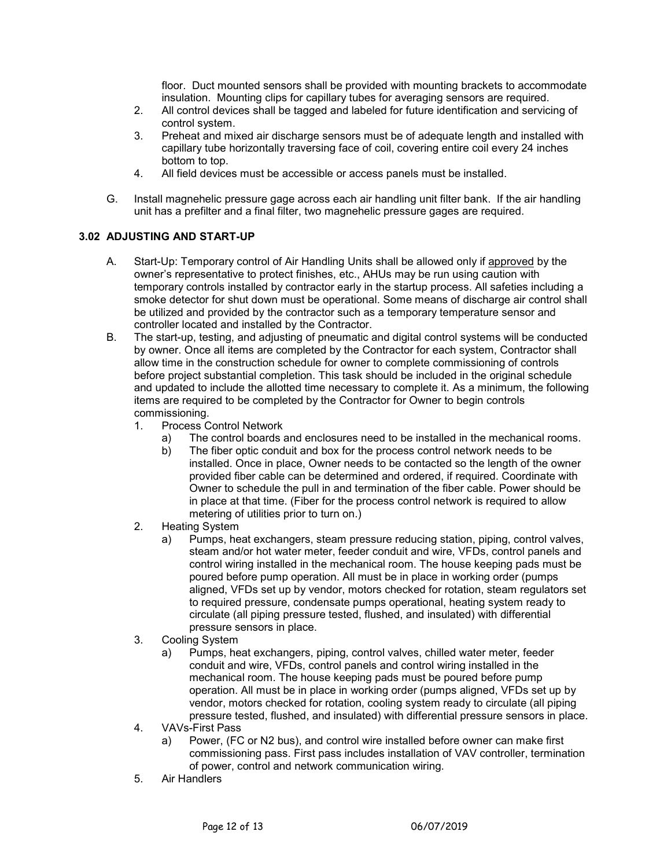floor. Duct mounted sensors shall be provided with mounting brackets to accommodate insulation. Mounting clips for capillary tubes for averaging sensors are required.

- 2. All control devices shall be tagged and labeled for future identification and servicing of control system.
- 3. Preheat and mixed air discharge sensors must be of adequate length and installed with capillary tube horizontally traversing face of coil, covering entire coil every 24 inches bottom to top.
- 4. All field devices must be accessible or access panels must be installed.
- G. Install magnehelic pressure gage across each air handling unit filter bank. If the air handling unit has a prefilter and a final filter, two magnehelic pressure gages are required.

### **3.02 ADJUSTING AND START-UP**

- A. Start-Up: Temporary control of Air Handling Units shall be allowed only if approved by the owner's representative to protect finishes, etc., AHUs may be run using caution with temporary controls installed by contractor early in the startup process. All safeties including a smoke detector for shut down must be operational. Some means of discharge air control shall be utilized and provided by the contractor such as a temporary temperature sensor and controller located and installed by the Contractor.
- B. The start-up, testing, and adjusting of pneumatic and digital control systems will be conducted by owner. Once all items are completed by the Contractor for each system, Contractor shall allow time in the construction schedule for owner to complete commissioning of controls before project substantial completion. This task should be included in the original schedule and updated to include the allotted time necessary to complete it. As a minimum, the following items are required to be completed by the Contractor for Owner to begin controls commissioning.
	- 1. Process Control Network
		- a) The control boards and enclosures need to be installed in the mechanical rooms.
		- b) The fiber optic conduit and box for the process control network needs to be installed. Once in place, Owner needs to be contacted so the length of the owner provided fiber cable can be determined and ordered, if required. Coordinate with Owner to schedule the pull in and termination of the fiber cable. Power should be in place at that time. (Fiber for the process control network is required to allow metering of utilities prior to turn on.)
	- 2. Heating System
		- a) Pumps, heat exchangers, steam pressure reducing station, piping, control valves, steam and/or hot water meter, feeder conduit and wire, VFDs, control panels and control wiring installed in the mechanical room. The house keeping pads must be poured before pump operation. All must be in place in working order (pumps aligned, VFDs set up by vendor, motors checked for rotation, steam regulators set to required pressure, condensate pumps operational, heating system ready to circulate (all piping pressure tested, flushed, and insulated) with differential pressure sensors in place.
	- 3. Cooling System
		- a) Pumps, heat exchangers, piping, control valves, chilled water meter, feeder conduit and wire, VFDs, control panels and control wiring installed in the mechanical room. The house keeping pads must be poured before pump operation. All must be in place in working order (pumps aligned, VFDs set up by vendor, motors checked for rotation, cooling system ready to circulate (all piping pressure tested, flushed, and insulated) with differential pressure sensors in place.
	- 4. VAVs-First Pass
		- a) Power, (FC or N2 bus), and control wire installed before owner can make first commissioning pass. First pass includes installation of VAV controller, termination of power, control and network communication wiring.
	- 5. Air Handlers